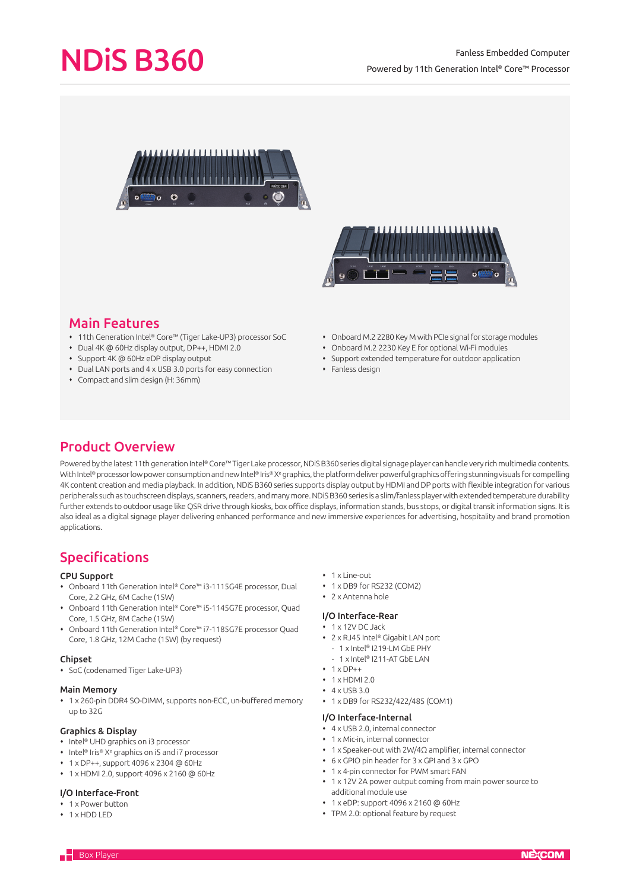# NDiS B360

# Fanless Embedded Computer Powered by 11th Generation Intel® Core™ Processor





# Main Features

- 11th Generation Intel® Core™ (Tiger Lake-UP3) processor SoC
- Dual 4K @ 60Hz display output, DP++, HDMI 2.0
- Support 4K @ 60Hz eDP display output
- Dual LAN ports and 4 x USB 3.0 ports for easy connection
- Compact and slim design (H: 36mm)
- Onboard M.2 2280 Key M with PCIe signal for storage modules
- Onboard M.2 2230 Key E for optional Wi-Fi modules
- Support extended temperature for outdoor application
- $\cdot$  Fanless design

# Product Overview

Powered by the latest 11th generation Intel® Core™ Tiger Lake processor. NDIS B360 series digital signage player can handle very rich multimedia contents. With Intel® processor low power consumption and new Intel® Iris® Xª graphics, the platform deliver powerful graphics offering stunning visuals for compelling 4K content creation and media playback. In addition, NDiS B360 series supports display output by HDMI and DP ports with flexible integration for various peripherals such as touchscreen displays, scanners, readers, and many more. NDiS B360 series is a slim/fanless player with extended temperature durability further extends to outdoor usage like QSR drive through kiosks, box office displays, information stands, bus stops, or digital transit information signs. It is also ideal as a digital signage player delivering enhanced performance and new immersive experiences for advertising, hospitality and brand promotion applications.

# Specifications

### CPU Support

- Onboard 11th Generation Intel® Core™ i3-1115G4E processor, Dual Core, 2.2 GHz, 6M Cache (15W)
- Onboard 11th Generation Intel® Core™ i5-1145G7E processor, Quad Core, 1.5 GHz, 8M Cache (15W)
- Onboard 11th Generation Intel® Core™ i7-1185G7E processor Quad Core, 1.8 GHz, 12M Cache (15W) (by request)

### Chipset

SoC (codenamed Tiger Lake-UP3)

### Main Memory

 1 x 260-pin DDR4 SO-DIMM, supports non-ECC, un-buffered memory up to 32G

# Graphics & Display

- Intel® UHD graphics on i3 processor
- Intel® Iris® X<sup>e</sup> graphics on i5 and i7 processor
- 1 x DP++, support 4096 x 2304 @ 60Hz
- 1 x HDMI 2.0, support 4096 x 2160 @ 60Hz

## I/O Interface-Front

- 1 x Power button
- 1 x HDD LED
- 1 x Line-out
- 1 x DB9 for RS232 (COM2)
- 2 x Antenna hole

### I/O Interface-Rear

- 1 x 12V DC Jack
- 2 x RJ45 Intel® Gigabit LAN port
- 1 x Intel® I219-LM GbE PHY
- 1 x Intel® I211-AT GbE LAN
- $+ 1 \times DP++$
- $+ 1$  x HDMI 2.0
- $4 \times IISB30$
- 1 x DB9 for RS232/422/485 (COM1)

#### I/O Interface-Internal

- 4 x USB 2.0, internal connector
- 1 x Mic-in, internal connector
- 1 x Speaker-out with 2W/4Ω amplifier, internal connector
- 6 x GPIO pin header for 3 x GPI and 3 x GPO
- 1 x 4-pin connector for PWM smart FAN
- 1 x 12V 2A power output coming from main power source to additional module use
- 1 x eDP: support 4096 x 2160 @ 60Hz
- TPM 2.0: optional feature by request